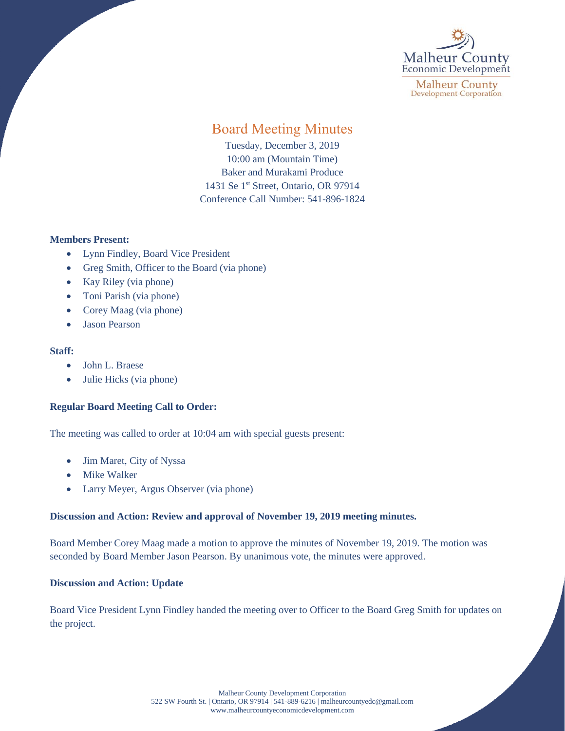

**Malheur County Development Corporation** 

# Board Meeting Minutes

Tuesday, December 3, 2019 10:00 am (Mountain Time) Baker and Murakami Produce 1431 Se 1<sup>st</sup> Street, Ontario, OR 97914 Conference Call Number: 541-896-1824

## **Members Present:**

- Lynn Findley, Board Vice President
- Greg Smith, Officer to the Board (via phone)
- Kay Riley (via phone)
- Toni Parish (via phone)
- Corey Maag (via phone)
- Jason Pearson

### **Staff:**

- John L. Braese
- Julie Hicks (via phone)

## **Regular Board Meeting Call to Order:**

The meeting was called to order at 10:04 am with special guests present:

- Jim Maret, City of Nyssa
- Mike Walker
- Larry Meyer, Argus Observer (via phone)

## **Discussion and Action: Review and approval of November 19, 2019 meeting minutes.**

Board Member Corey Maag made a motion to approve the minutes of November 19, 2019. The motion was seconded by Board Member Jason Pearson. By unanimous vote, the minutes were approved.

## **Discussion and Action: Update**

Board Vice President Lynn Findley handed the meeting over to Officer to the Board Greg Smith for updates on the project.